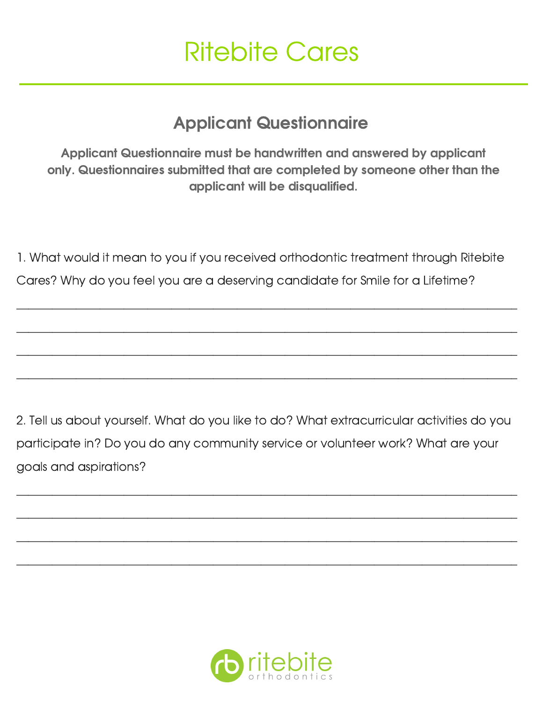## Ritebite Cares

## Applicant Questionnaire

Applicant Questionnaire must be handwritten and answered by applicant only. Questionnaires submitted that are completed by someone other than the applicant will be disqualified.

1. What would it mean to you if you received orthodontic treatment through Ritebite Cares? Why do you feel you are a deserving candidate for Smile for a Lifetime?

\_\_\_\_\_\_\_\_\_\_\_\_\_\_\_\_\_\_\_\_\_\_\_\_\_\_\_\_\_\_\_\_\_\_\_\_\_\_\_\_\_\_\_\_\_\_\_\_\_\_\_\_\_\_\_\_\_\_\_\_\_\_\_\_\_\_\_\_\_\_\_\_\_\_\_\_\_\_\_\_\_\_\_\_

\_\_\_\_\_\_\_\_\_\_\_\_\_\_\_\_\_\_\_\_\_\_\_\_\_\_\_\_\_\_\_\_\_\_\_\_\_\_\_\_\_\_\_\_\_\_\_\_\_\_\_\_\_\_\_\_\_\_\_\_\_\_\_\_\_\_\_\_\_\_\_\_\_\_\_\_\_\_\_\_\_\_\_\_

\_\_\_\_\_\_\_\_\_\_\_\_\_\_\_\_\_\_\_\_\_\_\_\_\_\_\_\_\_\_\_\_\_\_\_\_\_\_\_\_\_\_\_\_\_\_\_\_\_\_\_\_\_\_\_\_\_\_\_\_\_\_\_\_\_\_\_\_\_\_\_\_\_\_\_\_\_\_\_\_\_\_\_\_

\_\_\_\_\_\_\_\_\_\_\_\_\_\_\_\_\_\_\_\_\_\_\_\_\_\_\_\_\_\_\_\_\_\_\_\_\_\_\_\_\_\_\_\_\_\_\_\_\_\_\_\_\_\_\_\_\_\_\_\_\_\_\_\_\_\_\_\_\_\_\_\_\_\_\_\_\_\_\_\_\_\_\_\_

2. Tell us about yourself. What do you like to do? What extracurricular activities do you participate in? Do you do any community service or volunteer work? What are your goals and aspirations?

\_\_\_\_\_\_\_\_\_\_\_\_\_\_\_\_\_\_\_\_\_\_\_\_\_\_\_\_\_\_\_\_\_\_\_\_\_\_\_\_\_\_\_\_\_\_\_\_\_\_\_\_\_\_\_\_\_\_\_\_\_\_\_\_\_\_\_\_\_\_\_\_\_\_\_\_\_\_\_\_\_\_\_\_

\_\_\_\_\_\_\_\_\_\_\_\_\_\_\_\_\_\_\_\_\_\_\_\_\_\_\_\_\_\_\_\_\_\_\_\_\_\_\_\_\_\_\_\_\_\_\_\_\_\_\_\_\_\_\_\_\_\_\_\_\_\_\_\_\_\_\_\_\_\_\_\_\_\_\_\_\_\_\_\_\_\_\_\_

\_\_\_\_\_\_\_\_\_\_\_\_\_\_\_\_\_\_\_\_\_\_\_\_\_\_\_\_\_\_\_\_\_\_\_\_\_\_\_\_\_\_\_\_\_\_\_\_\_\_\_\_\_\_\_\_\_\_\_\_\_\_\_\_\_\_\_\_\_\_\_\_\_\_\_\_\_\_\_\_\_\_\_\_

\_\_\_\_\_\_\_\_\_\_\_\_\_\_\_\_\_\_\_\_\_\_\_\_\_\_\_\_\_\_\_\_\_\_\_\_\_\_\_\_\_\_\_\_\_\_\_\_\_\_\_\_\_\_\_\_\_\_\_\_\_\_\_\_\_\_\_\_\_\_\_\_\_\_\_\_\_\_\_\_\_\_\_\_